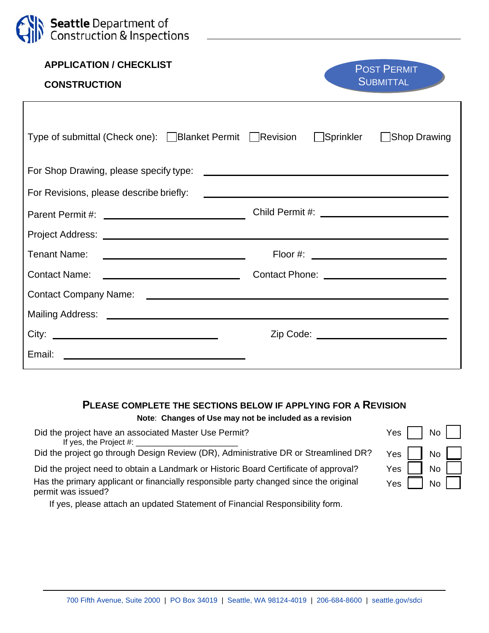| <b>Seattle</b> Department of<br>Construction & Inspections                        |                                                                                                                        |
|-----------------------------------------------------------------------------------|------------------------------------------------------------------------------------------------------------------------|
| <b>APPLICATION / CHECKLIST</b><br><b>CONSTRUCTION</b>                             | <b>POST PERMIT</b><br><b>SUBMITTAL</b>                                                                                 |
| Type of submittal (Check one): Blanket Permit Revision Sprinkler Shop Drawing     |                                                                                                                        |
| For Shop Drawing, please specify type:                                            | <u> 1980 - Johann Stein, marwolaethau a bhann an t-</u>                                                                |
| For Revisions, please describe briefly:                                           | <u> 1980 - Johann Barbara, martin amerikan basar dan berasal di basar dan basar dalam basar dalam basar dalam basa</u> |
|                                                                                   |                                                                                                                        |
|                                                                                   |                                                                                                                        |
| <b>Tenant Name:</b><br><u> 2000 - Andrea Andrew Maria (b. 1989)</u>               |                                                                                                                        |
| <u> 1980 - Johann Barbara, martxa alemaniar a</u><br><b>Contact Name:</b>         |                                                                                                                        |
|                                                                                   |                                                                                                                        |
|                                                                                   |                                                                                                                        |
|                                                                                   | Zip Code: ____________________________                                                                                 |
| Email:<br><u> 1989 - Johann Harry Barn, mars and deutscher Schwarzer († 1908)</u> |                                                                                                                        |

## **PLEASE COMPLETE THE SECTIONS BELOW IF APPLYING FOR A REVISION**

**Note**: **Changes of Use may not be included as a revision** 

| Did the project have an associated Master Use Permit?<br>If yes, the Project $#$ :                          | Yes I<br>No II                                        |
|-------------------------------------------------------------------------------------------------------------|-------------------------------------------------------|
| Did the project go through Design Review (DR), Administrative DR or Streamlined DR?                         | Yes $\parallel$<br>No II                              |
| Did the project need to obtain a Landmark or Historic Board Certificate of approval?                        | Yes I<br>$\overline{N}$ $\overline{C}$ $\overline{C}$ |
| Has the primary applicant or financially responsible party changed since the original<br>permit was issued? | Yes $ $<br>No II                                      |
|                                                                                                             |                                                       |

If yes, please attach an updated Statement of Financial Responsibility form.